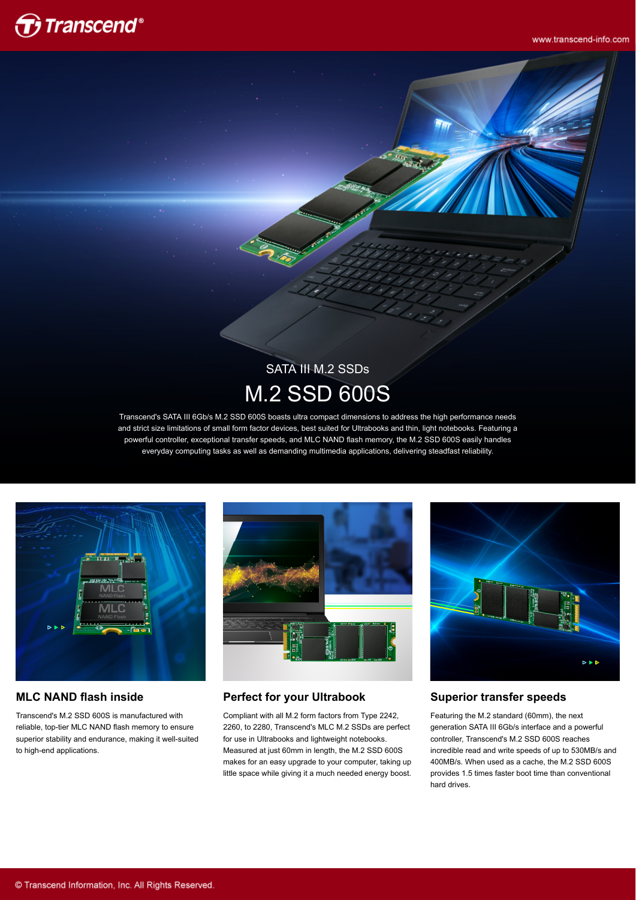

www.transcend-info.com

# SATA III M.2 SSDs M.2 SSD 600S

Transcend's SATA III 6Gb/s M.2 SSD 600S boasts ultra compact dimensions to address the high performance needs and strict size limitations of small form factor devices, best suited for Ultrabooks and thin, light notebooks. Featuring a powerful controller, exceptional transfer speeds, and MLC NAND flash memory, the M.2 SSD 600S easily handles everyday computing tasks as well as demanding multimedia applications, delivering steadfast reliability.



#### **MLC NAND flash inside**

Transcend's M.2 SSD 600S is manufactured with reliable, top-tier MLC NAND flash memory to ensure superior stability and endurance, making it well-suited to high-end applications.



#### **Perfect for your Ultrabook**

Compliant with all M.2 form factors from Type 2242, 2260, to 2280, Transcend's MLC M.2 SSDs are perfect for use in Ultrabooks and lightweight notebooks. Measured at just 60mm in length, the M.2 SSD 600S makes for an easy upgrade to your computer, taking up little space while giving it a much needed energy boost.



#### **Superior transfer speeds**

Featuring the M.2 standard (60mm), the next generation SATA III 6Gb/s interface and a powerful controller, Transcend's M.2 SSD 600S reaches incredible read and write speeds of up to 530MB/s and 400MB/s. When used as a cache, the M.2 SSD 600S provides 1.5 times faster boot time than conventional hard drives.